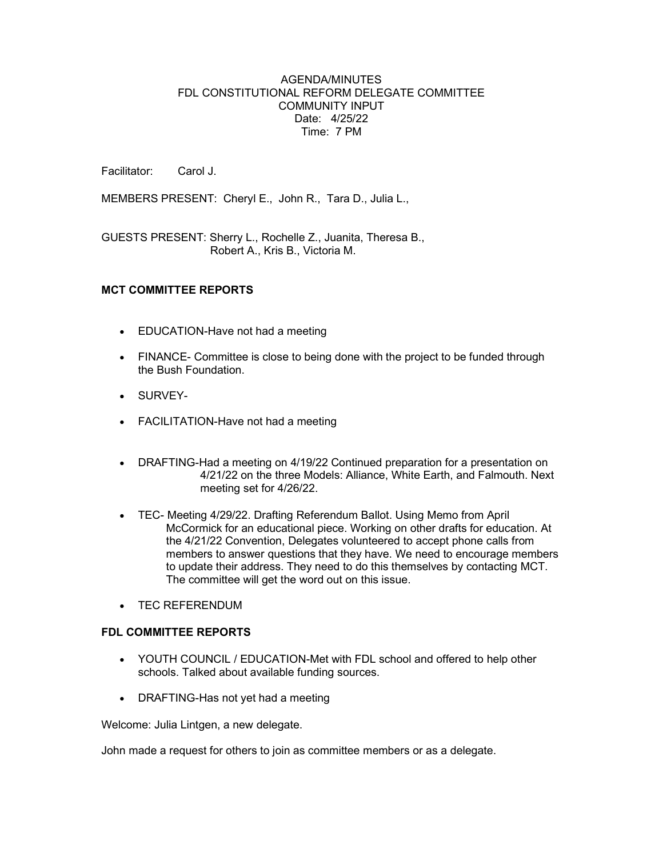## AGENDA/MINUTES FDL CONSTITUTIONAL REFORM DELEGATE COMMITTEE COMMUNITY INPUT Date: 4/25/22 Time: 7 PM

Facilitator: Carol J.

MEMBERS PRESENT: Cheryl E., John R., Tara D., Julia L.,

GUESTS PRESENT: Sherry L., Rochelle Z., Juanita, Theresa B., Robert A., Kris B., Victoria M.

## MCT COMMITTEE REPORTS

- EDUCATION-Have not had a meeting
- FINANCE- Committee is close to being done with the project to be funded through the Bush Foundation.
- SURVEY-
- FACILITATION-Have not had a meeting
- DRAFTING-Had a meeting on 4/19/22 Continued preparation for a presentation on 4/21/22 on the three Models: Alliance, White Earth, and Falmouth. Next meeting set for 4/26/22.
- TEC- Meeting 4/29/22. Drafting Referendum Ballot. Using Memo from April McCormick for an educational piece. Working on other drafts for education. At the 4/21/22 Convention, Delegates volunteered to accept phone calls from members to answer questions that they have. We need to encourage members to update their address. They need to do this themselves by contacting MCT. The committee will get the word out on this issue.
- TEC REFERENDUM

#### FDL COMMITTEE REPORTS

- YOUTH COUNCIL / EDUCATION-Met with FDL school and offered to help other schools. Talked about available funding sources.
- DRAFTING-Has not yet had a meeting

Welcome: Julia Lintgen, a new delegate.

John made a request for others to join as committee members or as a delegate.